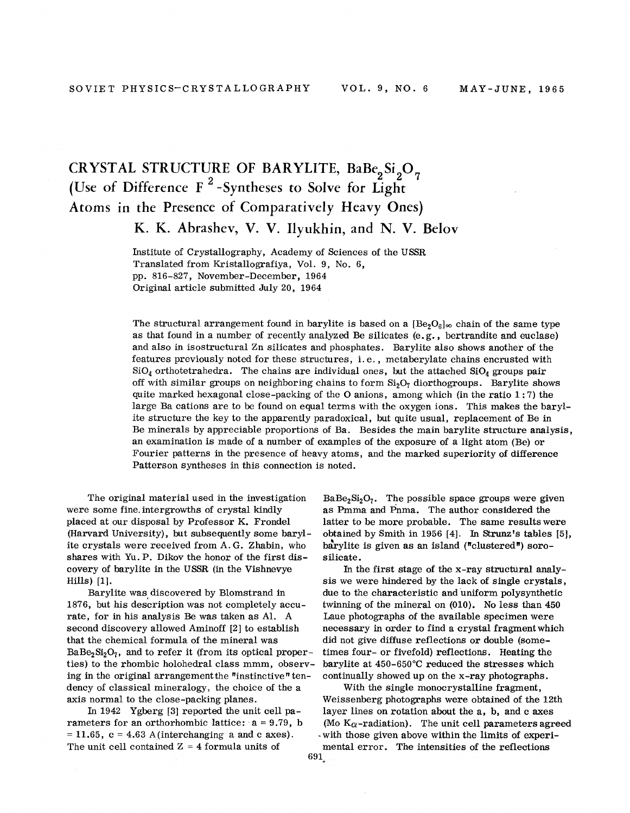## CRYSTAL STRUCTURE OF BARYLITE, BaBe<sub>2</sub>Si<sub>2</sub>O<sub>1</sub> (Use of Difference F<sup>2</sup>-Syntheses to Solve for Light) Atoms in the Presence of Comparatively Heavy Ones)

K. K. Abrashev, V. V. Ilyukhin, and N. V. Belov

Institute of Crystallography, Academy of Sciences of the USSR Translated from Kristallografiya, Vol. 9, No.6, pp. 816-827, November-December, 1964 Original article submitted July 20, 1964

The structural arrangement found in barylite is based on a  $[Be_2O_6]_{\infty}$  chain of the same type as that found in a number of recently analyzed Be silicates (e. g., bertrandite and euclase) and also in isostructural Zn silicates and phosphates. Barylite also shows another of the features previously noted for these structures, i. e., metaberylate chains encrusted with  $SiO_4$  orthotetrahedra. The chains are individual ones, but the attached  $SiO_4$  groups pair off with similar groups on neighboring chains to form  $Si<sub>2</sub>O<sub>7</sub>$  diorthogroups. Barylite shows quite marked hexagonal close-packing of the O anions, among which (in the ratio  $1:7$ ) the large Ba cations are to be found on equal terms with the oxygen ions. This makes the bary ite structure the key to the apparently paradoxical, but quite usual, replacement of Be in Be minerals by appreciable proportions of Ba. Besides the main barylite structure analysis, an examination is made of a number of examples of the exposure of a light atom (Be) or Fourier patterns in the presence of heavy atoms, and the marked superiority of difference Patterson syntheses in this connection is noted.

The original material used in the investigation were some fine. intergrowths of crystal kindly placed at our disposal by Professor K. Frondel (Harvard University), but subsequently some barylite crystals were received from A. G. Zhabin, who shares with Yu. P. Dikov the honor of the first discovery of barylite in the USSR (in the Vishnevye Hills) [1].

Barylite was discovered by Blomstrand in 1876, but his description was not completely accurate, for in his analysis Be was taken as AI. A second discovery allowed Aminoff [2] to establish that the chemical formula of the mineral was  $BaBe<sub>2</sub>Si<sub>2</sub>O<sub>7</sub>$ , and to refer it (from its optical properties) to the rhombic holohedral class mmm, observing in the original arrangement the "instinctive" tendency of classical mineralogy, the choice of the a axis normal to the close-packing planes.

In 1942 Ygberg [3] reported the unit cell parameters for an orthorhombic lattice:  $a = 9.79$ , b  $= 11.65$ ,  $c = 4.63$  A (interchanging a and c axes). The unit cell contained  $Z = 4$  formula units of

 $BaBe<sub>2</sub>Si<sub>2</sub>O<sub>7</sub>$ . The possible space groups were given as Pmma and Pnma. The author considered the latter to be more probable. The same results were obtained by Smith in 1956 [4]. In Strunz's tables [5], barylite is given as an island ("clustered") sorosilicate.

In the first stage of the x-ray structural analysis we were hindered by the lack of single crystals, due to the characteristic and uniform polysynthetic twinning of the mineral on (010). No less than 450 Laue photographs of the available specimen were necessary in order to find a crystal fragment which did not give diffuse reflections or double (sometimes four- or fivefold) reflections. Heating the barylite at 450-650°C reduced the stresses which continually showed up on the x-ray photographs.

With the single monocrystalline fragment, Weissenberg photographs were obtained of the 12th layer lines on rotation about the a, b, and c axes (Mo  $K_{\alpha}$ -radiation). The unit cell parameters agreed . with those given above within the limits of experimental error. The intensities of the reflections 691.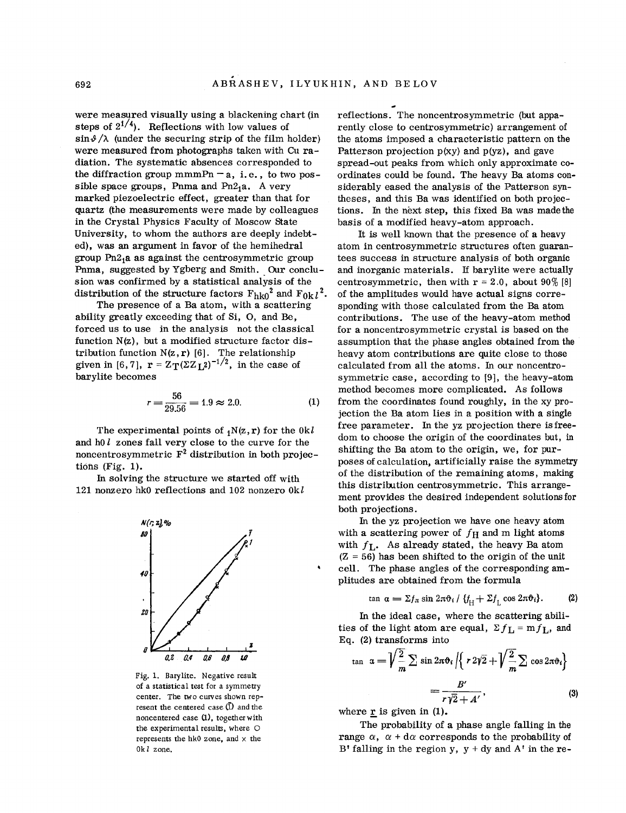were measured visually using a blackening chart (in steps of  $2^{1/4}$ ). Reflections with low values of  $\sin\theta/\lambda$  (under the securing strip of the film holder) were measured from photographs taken with Cu radiation. The systematic absences corresponded to the diffraction group mmmPn  $-a$ , i.e., to two possible space groups, Pnma and  $Pn2<sub>1</sub>a$ . A very marked piezoelectric effect, greater than that for quartz (the measurements were made by colleagues in the Crystal Physics Faculty of Moscow State University, to whom the authors are deeply indebted), was an argument in favor of the hemihedral group Pn21a as against the centrosymmetric group Pnma, suggested by Ygberg and Smith. Our conclu sion was confirmed by a statistical analysis of the distribution of the structure factors  $F_{h k0}^2$  and  $F_{0k}l^2$ .

The presence of a Ba atom, with a scattering ability greatly exceeding that of Si, 0, and Be, forced us to use in the analysis not the classical function N(z), but a modified structure factor distribution function  $N(z, r)$  [6]. The relationsh given in [6,7],  $\mathbf{r} = \mathbf{Z_T} (\Sigma \mathbf{Z_L^2})^{-1/2}$ , in the case of barylite becomes

$$
r = \frac{56}{29.56} = 1.9 \approx 2.0. \tag{1}
$$

The experimental points of 1N(z,r) for the *Okl* and hO *l* zones fall very close to the curve for the noncentrosymmetric  $F^2$  distribution in both projections (Fig. 1).

In solving the structure we started off with 121 nonzero hkO reflections and 102 nonzero *Okl*



Fig. 1. Barylite. Negative result of a statistical test for a symmetry center. The two curves shown represent the centered case  $(\overline{1})$  and the noncentered case (1), together with the experimental results, where O represents the hk0 zone, and  $\times$  the Ok*I* zone.

reflections. The noncentrosymmetric (but apparently close to centrosymmetric) arrangement of the atoms imposed a characteristic pattern on the Patterson projection  $p(xy)$  and  $p(yz)$ , and gave spread-out peaks from which only approximate coordinates could be found. The heavy Ba atoms considerably eased the analysis of the Patterson syntheses, and this Ba was identified on both projections. In the next step, this fixed Ba was made the basis of a modified heavy-atom approach.

It is well known that the presence of a heavy atom in centrosymmetric structures often guarantees success in structure analysis of both organic and inorganic materials. *H* barylite were actually centrosymmetric, then with  $r = 2.0$ , about  $90\%$  [8] of the amplitudes would have actual signs corresponding with those calculated from the Ba atom contributions. The use of the heavy-atom method for a noncentrosymmetric crystal is based on the assumption that the phase angles obtained from the heavy atom contributions are quite close to those calculated from all the atoms. In our noncentrosymmetric case, according to [9], the heavy-atom method becomes more complicated. As follows from the coordinates found roughly, in the xy projection the Ba atom lies in a position with a single free parameter. In the yz projection there is freedom to choose the origin of the coordinates but, in shifting the Ba atom to the origin, we, for purposes of calculation, artificially raise the symmetry of the distribution of the remaining atoms, making this distribution centrosymmetric. This arrangement provides the desired independent solutions for both projections.

In the vz projection we have one heavy atom with a scattering power of  $f_H$  and m light atoms with *fL'* As already stated, the heavy Ba atom (Z = 56) has been shifted to the origin of the unit cell. The phase angles of the corresponding amplitudes are obtained from the formula

$$
\tan \alpha = \Sigma f_{\pi} \sin 2\pi \vartheta_i / \{f_H + \Sigma f_L \cos 2\pi \vartheta_i\}.
$$
 (2)

In the ideal case, where the scattering abilities of the light atom are equal,  $\Sigma f_L = m f_L$ , and Eq. (2) transforms into

$$
\tan \alpha = \sqrt{\frac{2}{m}} \sum \sin 2\pi \vartheta_i / \left\{ r \, 2\sqrt{2} + \sqrt{\frac{2}{m}} \sum \cos 2\pi \vartheta_i \right\}
$$
\n
$$
= \frac{B'}{r \sqrt{2} + A'}, \tag{3}
$$

where  $\underline{\mathbf{r}}$  is given in (1).

The probability of a phase angle falling in the range  $\alpha$ ,  $\alpha$  + d $\alpha$  corresponds to the probability of B' falling in the region y,  $y + dy$  and  $A'$  in the re-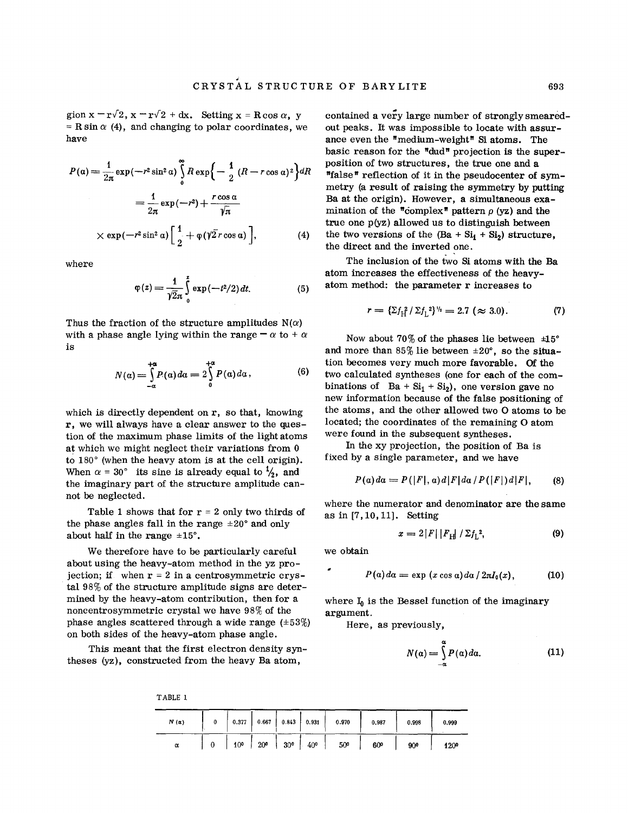gion  $x = r\sqrt{2}$ ,  $x = r\sqrt{2} + dx$ . Setting  $x = R\cos\alpha$ , y  $=$  R sin  $\alpha$  (4), and changing to polar coordinates, we have

$$
P(\alpha) = \frac{1}{2\pi} \exp(-r^2 \sin^2 \alpha) \int_0^{\infty} R \exp\left\{-\frac{1}{2} (R - r \cos \alpha)^2\right\} dR
$$
  

$$
= \frac{1}{2\pi} \exp(-r^2) + \frac{r \cos \alpha}{\sqrt{\pi}}
$$
  

$$
\times \exp(-r^2 \sin^2 \alpha) \left[\frac{1}{2} + \varphi(\sqrt{2}r \cos \alpha)\right],
$$
 (4)

where

$$
\varphi(z) = \frac{1}{\sqrt{2}\pi} \int_{0}^{z} \exp(-t^2/2) dt.
$$
 (5)

Thus the fraction of the structure amplitudes  $N(\alpha)$ with a phase angle lying within the range  $-\alpha$  to  $+\alpha$ is

$$
N(\alpha) = \int_{-\alpha}^{+\alpha} P(\alpha) d\alpha = 2 \int_{0}^{+\alpha} P(\alpha) d\alpha, \qquad (6)
$$

which is directly dependent on  $r$ , so that, knowing r, we will always have a clear answer to the question of the maximum phase limits of the light atoms at which we might neglect their variations from 0 to 180° (when the heavy atom is at the cell origin). When  $\alpha = 30^{\circ}$  its sine is already equal to  $\frac{1}{2}$ , and the imaginary part of the structure amplitude cannot be neglected.

Table 1 shows that for  $r = 2$  only two thirds of the phase angles fall in the range  $\pm 20^{\circ}$  and only about half in the range  $\pm 15^\circ$ .

We therefore have to be particularly careful about using the heavy-atom method in the yz projection; if when  $r = 2$  in a centrosymmetric crystal 98% of the structure amplitude signs are determined by the heavy-atom contribution, then for a noncentrosymmetric crystal we have 98% of the phase angles scattered through a wide range  $(\pm 53%)$ on both sides of the heavy-atom phase angle.

This meant that the first electron density syntheses (yz), constructed from the heavy Ba atom,

TABLE 1

contained a very large number of strongly smearedout peaks. It was impossible to locate with assurance even the "medium-weight" Si atoms. The basic reason for the "dud" projection is the superposition of two structures, the true one and a "false" reflection of it in the pseudocenter of symmetry (a result of raising the symmetry by putting Ba at the origin). However, a simultaneous examination of the "complex" pattern  $\rho$  (yz) and the true one p(yz) allowed us to distinguish between the two versions of the  $(Ba + Si<sub>1</sub> + Si<sub>2</sub>)$  structure, the direct and the inverted one.

The inclusion of the two Si atoms with the Ba atom increases the effectiveness of the heavyatom method: the parameter r increases to

$$
r = \left\{ \Sigma f_{\rm H}^2 / \Sigma f_{\rm L}^2 \right\}^{V_{\rm B}} = 2.7 \ (\approx 3.0). \tag{7}
$$

Now about 70% of the phases lie between  $\pm 15^{\circ}$ and more than  $85\%$  lie between  $\pm 20^{\circ}$ , so the situation becomes very much more favorable. Of the two calculated syntheses (one for each of the combinations of  $Ba + Si<sub>1</sub> + Si<sub>2</sub>$ , one version gave no new information because of the false positioning of the atoms, and the other allowed two 0 atoms to be located; the coordinates of the remaining 0 atom were found in the subsequent syntheses.

In the xy projection, the position of Ba is fixed by a single parameter, and we have

$$
P(a)da = P(|F|,a)d|F|da/P(|F|)d|F|, \qquad (8)
$$

where the numerator and denominator are the same as in [7,10,11]. Setting

$$
x = 2|F||F_H| / \Sigma f_L^2,
$$
 (9)

we obtain

ż

$$
P(a) da = \exp(x \cos a) da / 2\pi I_0(x), \qquad (10)
$$

where  $I_0$  is the Bessel function of the imaginary argument.

Here, as previously,

$$
N(\alpha) = \int_{-\alpha}^{\alpha} P(\alpha) d\alpha.
$$
 (11)

 $N(\alpha)$  0 I 0.377 0.6671 0.843/ 0.931 0.970 0.987 0.998 0.999  $\alpha$  | 0 | 10° | 20° | 30° | 40° | 50<sup>o</sup> 60<sup>o</sup> 90<sup>o</sup> 120<sup>o</sup>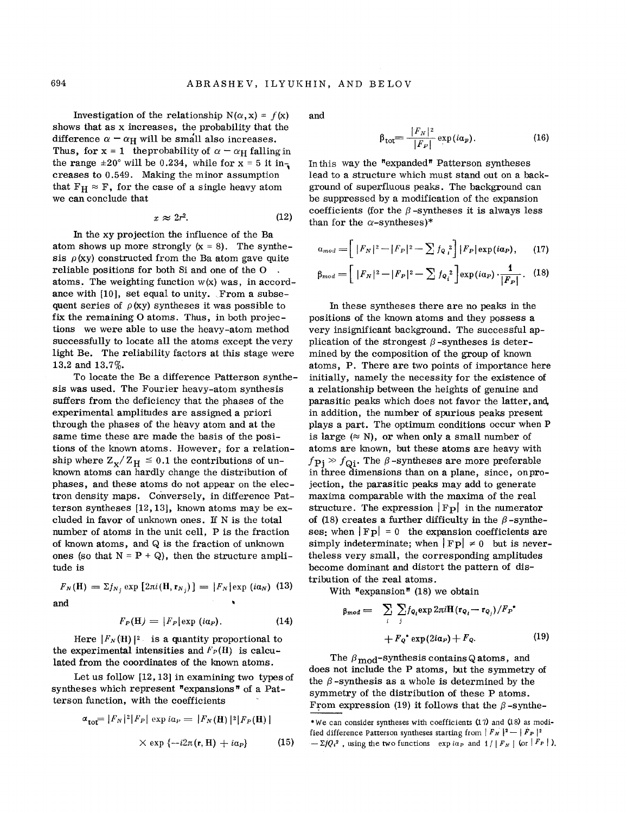Investigation of the relationship  $N(\alpha, x) = f(x)$ shows that as x increases, the probability that the difference  $\alpha - \alpha_H$  will be small also increases. Thus, for  $x = 1$  the probability of  $\alpha - \alpha_H$  falling in the range  $\pm 20^{\circ}$  will be 0.234, while for x = 5 it in, creases to 0.549. Making the minor assumption that  $F_H \approx F$ , for the case of a single heavy atom we can conclude that

$$
x \approx 2r^2. \tag{12}
$$

In the xy projection the influence of the Ba atom shows up more strongly  $(x = 8)$ . The synthesis  $\rho$ (xy) constructed from the Ba atom gave quite reliable positions for both Si and one of the 0 atoms. The weighting function  $w(x)$  was, in accordance with [10], set equal to unity. From a subsequent series of  $\rho$  (xy) syntheses it was possible to fix the remaining 0 atoms. Thus, in both projections we were able to use the heavy-atom method successfully to locate all the atoms except the very light Be. The reliability factors at this stage were 13.2 and 13.7%.

To locate the Be a difference Patterson synthesis was used. The Fourier heavy-atom synthesis suffers from the deficiency that the phases of the experimental amplitudes are assigned a priori through the phases of the heavy atom and at the same time these are made the basis of the positions of the known atoms. However, for a relationship where  $Z_{\text{X}}/Z_{\text{H}} \leq 0.1$  the contributions of unknown atoms can hardly change the distribution of phases, and these atoms do not appear on the electron density maps. Conversely, in difference Patterson syntheses [12,13], known atoms may be excluded in favor of unknown ones. If N is the total number of atoms in the unit cell, P is the fraction of known atoms, and Q is the fraction of unknown ones (so that  $N = P + Q$ ), then the structure amplitude is

$$
F_N(\mathbf{H}) = \Sigma f_{N_j} \exp \left[2\pi i(\mathbf{H}, \mathbf{r}_{N_j})\right] = |F_N| \exp \left(i\alpha_N\right) \tag{13}
$$

and

$$
F_P(\mathbf{H}) = |F_P| \exp(i\alpha_P). \tag{14}
$$

Here  $|F_N(H)|^2$  is a quantity proportional to the experimental intensities and  $F_P(H)$  is calculated from the coordinates of the known atoms.

Let us follow [12,13] in examining two types of syntheses which represent "expansions" of a Patterson function, with the coefficients

$$
\alpha_{\text{tot}} = |F_N|^2 |F_P| \exp i a_P = |F_N(\mathbf{H})|^2 |F_P(\mathbf{H})|
$$
  
 
$$
\times \exp \{-i2\pi(\mathbf{r}, \mathbf{H}) + i a_P\}
$$
 (15)

and

$$
\beta_{\text{tot}} = \frac{|F_N|^2}{|F_P|} \exp(i\alpha_p). \tag{16}
$$

In this way the "expanded" Patterson syntheses lead to a structure which must stand out on a background of superfluous peaks. The background can be suppressed by a modification of the expansion coefficients (for the  $\beta$ -syntheses it is always less than for the  $\alpha$ -syntheses)\*

$$
a_{mod} = \left[ |F_N|^2 - |F_P|^2 - \sum f_{Q_i}^2 \right] |F_P| \exp(i a_P), \qquad (17)
$$

$$
\beta_{mod} = \left[ |F_N|^2 - |F_P|^2 - \sum f_{\mathbf{Q}_i}^2 \right] \exp(i\alpha_P) \cdot \frac{1}{|F_P|}.
$$
 (18)

In these syntheses there are no peaks in the positions of the known atoms and they possess a very insignificant background. The successfulapplication of the strongest  $\beta$ -syntheses is determined by the composition of the group of known atoms, P. There are two points of importance here initially, namely the necessity for the existence of a relationship between the heights of genuine and parasitic peaks which does not favor the latter, and, in addition, the number of spurious peaks present plays a part. The optimum conditions occur when P is large  $(\approx N)$ , or when only a small number of atoms are known, but these atoms are heavy with  $f_{\text{Pj}} \gg f_{\text{Qi}}$ . The  $\beta$ -syntheses are more preferable in three dimensions than on a plane, since, onprojection, the parasitic peaks may add to generate maxima comparable with the maxima of the real structure. The expression  $|F_{\mathbf{P}}|$  in the numerator of (18) creates a further difficulty in the  $\beta$ -syntheses: when  $|F_{\mathbf{P}}| = 0$  the expansion coefficients are simply indeterminate; when  $|F_{\text{P}}| \neq 0$  but is nevertheless very small, the corresponding amplitudes become dominant and distort the pattern of distribution of the real atoms.

With "expansion" (18) we obtain

$$
\beta_{mod} = \sum_{i} \sum_{j} f_{Q_i} \exp 2\pi i \mathbf{H} (\mathbf{r}_{Q_i} - \mathbf{r}_{Q_j}) / F_P^*
$$
  
+  $F_Q^* \exp(2i\alpha_P) + F_Q.$  (19)

The  $\beta_{\text{mod}}$ -synthesis contains Q atoms, and does not include the P atoms, but the symmetry of the  $\beta$ -synthesis as a whole is determined by the symmetry of the distribution of these P atoms. From expression (19) it follows that the  $\beta$ -synthe-

<sup>\*</sup>We can consider syntheses with coefficients  $(17)$  and  $(18)$  as modified difference Patterson syntheses starting from  $|F_N|^2 - |F_P|^2$  $-\Sigma fQ_i^2$ , using the two functions exp ia<sub>p</sub> and  $1/ |F_N|$  (or  $|F_P|$ ),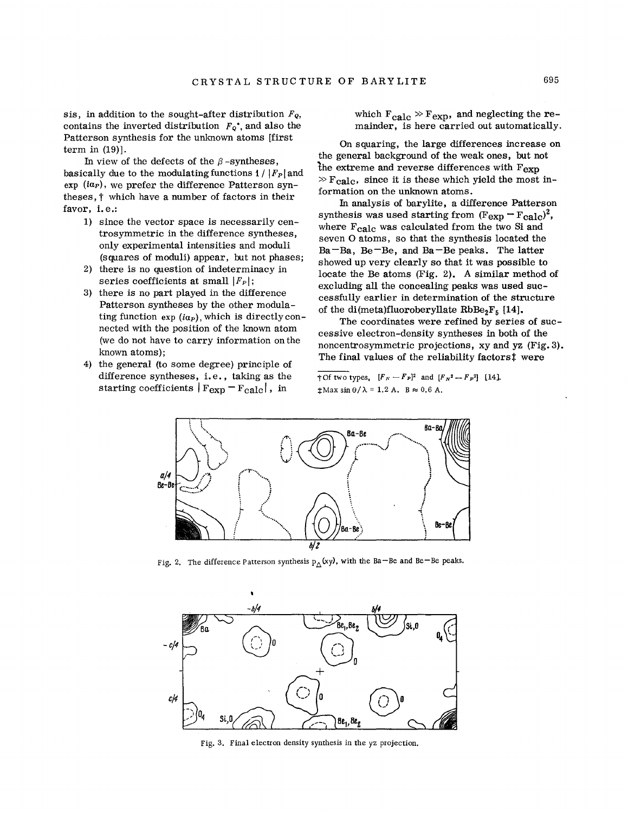sis, in addition to the sought-after distribution  $F_Q$ , contains the inverted distribution  $F_Q^*$ , and also the Patterson synthesis for the unknown atoms [first term in (19)].

In view of the defects of the  $\beta$ -syntheses, basically due to the modulating functions  $1/|F_p|$  and exp *(iap),* we prefer the difference Patterson syntheses, t which have a number of factors in their favor, i.e.:

- 1) since the vector space is necessarily centrosymmetric in the difference syntheses, only experimental intensities and moduli (squares of moduli) appear, but not phases;
- 2) there is no question of indeterminacy in series coefficients at small *IFpi;*
- 3) there is no part played in the difference Patterson syntheses by the other modulating function exp *(iap),* which is directly connected with the position of the known atom (we do not have to carry information on the known atoms);
- 4) the general (to some degree) principle of difference syntheses, i.e., taking as the starting coefficients  $|F_{\text{exp}} - F_{\text{calc}}|$ , in

which  $F_{\text{calc}} \gg F_{\text{exp}}$ , and neglecting the remainder, is here carried out automatically.

On squaring, the large differences increase on the general background of the weak ones, but not the extreme and reverse differences with  $F_{exp}$  $\triangleright$  F<sub>calc</sub>, since it is these which yield the most information on the unknown atoms.

In analysis of barylite, a difference Patterson synthesis was used starting from  $(F_{\rm exp} - F_{\rm calc})^2$ , where  $F_{\text{calc}}$  was calculated from the two Si and seven 0 atoms, so that the synthesis located the  $Ba - Ba$ ,  $Be - Be$ , and  $Ba - Be$  peaks. The latter showed up very clearly so that it was possible to locate the Be atoms (Fig. 2). A similar method of excluding all the concealing peaks was used successfully earlier in determination of the structure of the di(meta)fluoroberyllate  $RbBe_2F_5$  [14].

The coordinates were refined by series of successive electron-density syntheses in both of the noncentrosymmetric projections, xy and yz (Fig. 3). The final values of the reliability factors! were

 $t$  of two types,  $[F_N - F_P]^2$  and  $[F_N^2 - F_P^2]$  [14].  $\text{\#Max}$  sin  $\theta/\lambda = 1.2$  A. B  $\approx 0.6$  A.



Fig. 2. The difference Patterson synthesis  $p_{\Delta}$ (xy), with the Ba–Be and Be–Be peak:



Fig. 3. Final electron density synthesis in the yz projection.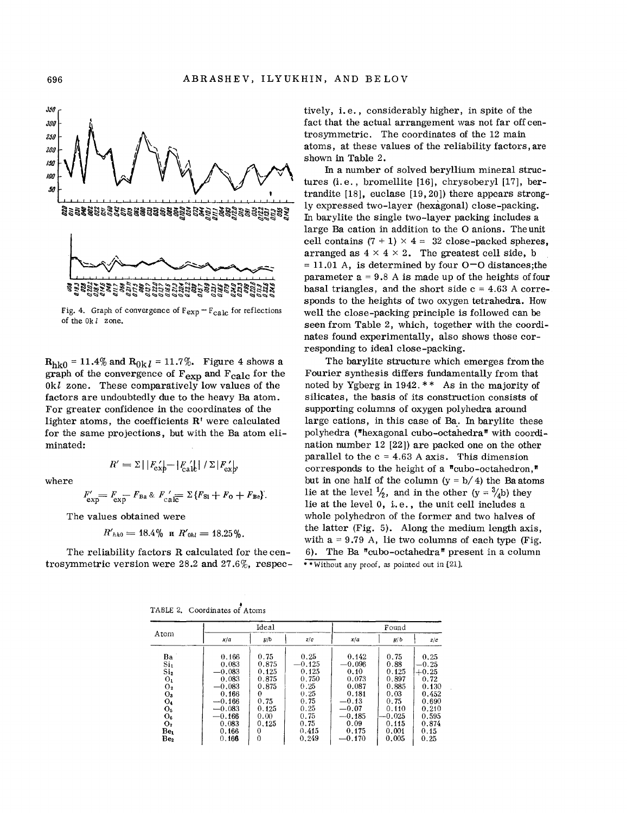

Fig. 4. Graph of convergence of  $F_{exp} - F_{calc}$  for reflections of the  $0k$   $l$  zone.

 $R_{h k0} = 11.4\%$  and  $R_{0k l} = 11.7\%.$  Figure 4 shows a graph of the convergence of  $F_{\text{exp}}$  and  $F_{\text{calc}}$  for the  $0k$  zone. These comparatively low values of the factors are undoubtedly due to the heavy Ba atom. For greater confidence in the coordinates of the lighter atoms, the coefficients R' were calculated for the same projections, but with the Ba atom eliminated:

where

$$
R'=\Sigma\,|\,|F_{\textrm{exp}}'| - |F_{\textrm{calc}}'| \,|\,/\,\Sigma\,|F_{\textrm{exp}}'|
$$

 $F'_{\rm exp} = F_{\rm exp} - F_{\rm Ba} \& F_{\rm cal} = \Sigma \{ F_{\rm Si} + F_{\rm O} + F_{\rm Be} \}.$ 

The values obtained were

$$
R'_{hh0}=18.4\% \text{ n } R'_{0hl}=18.25\%.
$$

The reliability factors R calculated for the centrosymmetric version were 28.2 and 27.6%, respectively, i.e., considerably higher, in spite of the fact that the actual arrangement was not far off centrosymmetric. The coordinates of the 12 main atoms, at these values of the reliability factors, are shown in Table 2.

In a number of solved beryllium mineral structures (i.e., bromellite [16], chrysoberyl [17], bertrandite  $[18]$ , euclase  $[19, 20]$ ) there appears strongly expressed two-layer (hexagonal) close-packing. In barylite the single two-layer packing includes a large Ba cation in addition to the O anions. The unit cell contains  $(7 + 1) \times 4 = 32$  close-packed spheres, arranged as  $4 \times 4 \times 2$ . The greatest cell side, b  $= 11.01$  A, is determined by four O-O distances; the parameter  $a = 9.8$  A is made up of the heights of four basal triangles, and the short side  $c = 4.63$  A corresponds to the heights of two oxygen tetrahedra. How well the close-packing principle is followed can be seen from Table 2, which, together with the coordinates found experimentally, also shows those corresponding to ideal close-packing.

The barylite structure which emerges from the Fourier synthesis differs fundamentally from that noted by Ygberg in 1942.  $**$  As in the majority of silicates, the basis of its construction consists of supporting columns of oxygen polyhedra around large cations, in this case of Ba. In barylite these polyhedra ("hexagonal cubo-octahedra" with coordination number 12 (22) are packed one on the other parallel to the  $c = 4.63$  A axis. This dimension corresponds to the height of a "cubo-octahedron," but in one half of the column  $(y = b/4)$  the Ba atoms lie at the level  $\frac{1}{2}$ , and in the other  $(y = \frac{3}{4}b)$  they lie at the level 0, i.e., the unit cell includes a whole polyhedron of the former and two halves of the latter (Fig. 5). Along the medium length axis, with  $a = 9.79$  A, lie two columns of each type (Fig. 6). The Ba "cubo-octahedra" present in a column \*\* Without any proof, as pointed out in [21].

|  | TABLE 2. Coordinates of Atoms |  |
|--|-------------------------------|--|
|  |                               |  |

| Atom            |          | Ideal |          |          | Found    |         |  |
|-----------------|----------|-------|----------|----------|----------|---------|--|
|                 | x/a      | y/b   | z/c      | x/a      | y/b      | z/c     |  |
| Ba              | 0.166    | 0.75  | 0.25     | 0.142    | 0.75     | 0.25    |  |
| Si <sub>1</sub> | 0.083    | 0.875 | $-0.125$ | $-0.096$ | 0.88     | $-0.25$ |  |
| Si <sub>2</sub> | $-0.083$ | 0.125 | 0.125    | 0.10     | 0.125    | $+0.25$ |  |
| $O_{1}$         | 0.083    | 0.875 | 0.750    | 0.073    | 0.897    | 0.72    |  |
| O <sub>2</sub>  | $-0.083$ | 0.875 | 0.25     | 0.087    | 0.885    | 0.130   |  |
| $O_3$           | 0.166    | 0     | 0.25     | 0.181    | 0.03     | 0.452   |  |
| $O_4$           | $-0.166$ | 0.75  | 0.75     | $-0.13$  | 0.75     | 0.690   |  |
| O <sub>5</sub>  | $-0.083$ | 0.125 | 0.25     | $-0.07$  | 0.110    | 0.210   |  |
| $O_6$           | $-0.166$ | 0.00  | 0.75     | $-0.185$ | $-0.025$ | 0.595   |  |
| $\mathbf{o}_i$  | 0.083    | 0.125 | 0.75     | 0.09     | 0.115    | 0.874   |  |
| Be.             | 0.166    | 0     | 0.415    | 0.175    | 0.001    | 0.15    |  |
| Be <sub>2</sub> | 0,166    | 0     | 0.249    | $-0.170$ | 0.005    | 0.25    |  |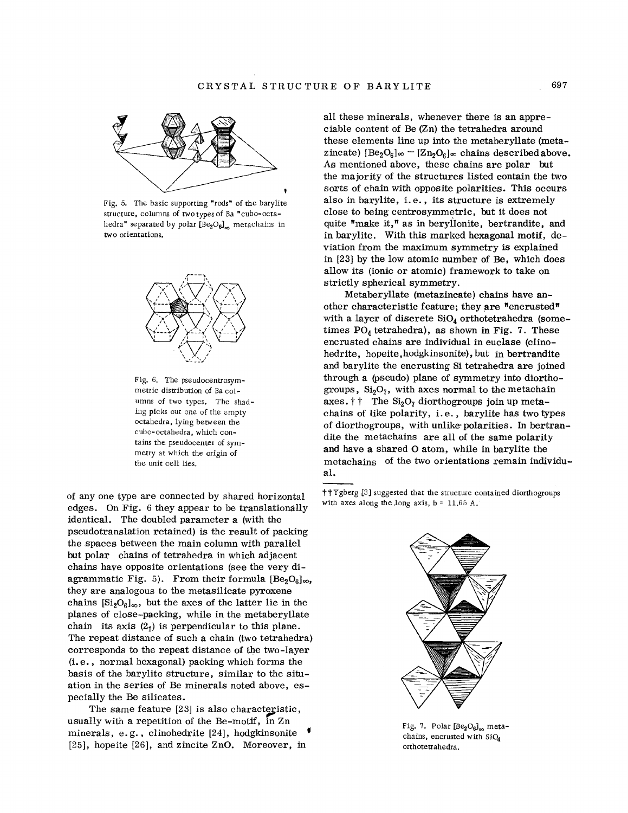

Fig. 5. The basic supporting "rods" of the barylite structure, columns of two types of Ba "cubo-octahedra" separated by polar  $[Be_2O_6]$ <sub>m</sub> metachains in two orientations.





of any one type are connected by shared horizontal edges. On Fig. 6 they appear to be translationally identical. The doubled parameter a (with the pseudotranslation retained) is the result of packing the spaces between the main column with parallel but polar chains of tetrahedra in which adjacent chains have opposite orientations (see the very diagrammatic Fig. 5). From their formula  $[Be<sub>2</sub>O<sub>6</sub>]_{\infty}$ , they are analogous to the metasilicate pyroxene chains  $[Si_2O_6]_\infty$ , but the axes of the latter lie in the planes of close-packing, while in the metaberyllate chain its axis  $(2<sub>1</sub>)$  is perpendicular to this plane. The repeat distance of such a chain (two tetrahedra) corresponds to the repeat distance of the two-layer (i. e., normal hexagonal) packing which forms the basis of the barylite structure, similar to the situation in the series of Be minerals noted above, especially the Be silicates.

The same feature  $[23]$  is also characteristic, usually with a repetition of the Be-motif, in Zn minerals, e.g., clinohedrite [24], hodgkinsonite [25], hopeite [26], and zincite ZnO. Moreover, in all these minerals, whenever there is an appreciable content of Be (Zn) the tetrahedra around these elements line up into the metaberyllate (metazincate)  $[Be_2O_6]_{\infty} - [Zn_2O_6]_{\infty}$  chains described above. As mentioned above, these chains are polar but the majority of the structures listed contain the two sorts of chain with opposite polarities. This occurs also in barylite, i. e., its structure is extremely close to being centrosymmetric, but it does not quite "make **it,"** as in beryllonite, bertrandite, and in barylite. With this marked hexagonal motif, deviation from the maximum symmetry is explained in [23] by the low atomic number of Be, which does allow its (ionic or atomic) framework to take on strictly spherical symmetry.

Metaberyllate (metazincate) chains have another characteristic feature; they are "encrusted" with a layer of discrete  $SiO<sub>4</sub>$  orthotetrahedra (sometimes  $PO_4$  tetrahedra), as shown in Fig. 7. These encrusted chains are individual in euclase (clinohedrite, hopeite,hodgkinsonite), but in bertrandite and barylite the encrusting Si tetrahedra are joined through a (pseudo) plane of symmetry into diorthogroups,  $Si<sub>2</sub>O<sub>7</sub>$ , with axes normal to the metachain axes.  $\dagger \dagger$  The Si<sub>2</sub>O<sub>7</sub> diorthogroups join up metachains of like polarity, i. e., barylite has two types of diorthogroups, with unlike'polarities. In bertrandite the metachains are all of the same polarity and have a shared  $\Omega$  atom, while in barylite the materials of the two exientations remain inde metachains of the two orientations remain individual.

ttYgberg [3] suggested that the structure contained diorthogroups with axes along the long axis, b = 11,65 A.



Fig. 7. Polar  $[Be_2O_6]_{\infty}$  metachains, encrusted with SiO4 orthotetrahedra.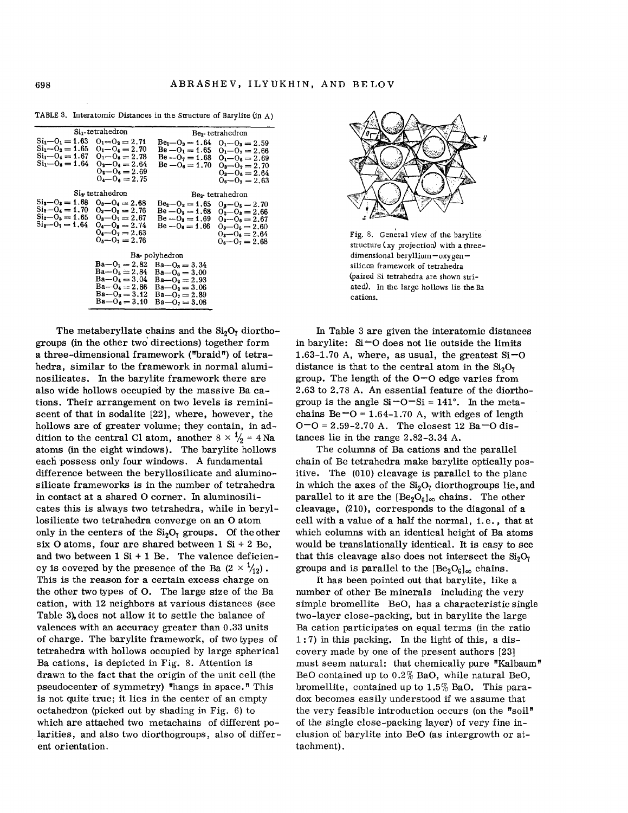|                                                                                          | Si <sub>1</sub> -tetrahedron                                                                                                     | Be <sub>1</sub> -tetrahedron                                                                                             |                                                                                                                                  |  |  |  |  |
|------------------------------------------------------------------------------------------|----------------------------------------------------------------------------------------------------------------------------------|--------------------------------------------------------------------------------------------------------------------------|----------------------------------------------------------------------------------------------------------------------------------|--|--|--|--|
| $Si_1 - O_1 = 1.63$<br>$Si_1 - O_2 = 1.65$<br>$Si_1 - O_4 = 1.67$<br>$Si1 - O6 = 1.64$   | $0_1 = 0_2 = 2.71$<br>$0_1 - 0_4 = 2.70$<br>$0_1 - 0_6 = 2.78$<br>$0_3 - 0_4 = 2.64$<br>$Q_2 - Q_6 = 2.69$<br>$0_4 - 0_6 = 2.75$ | $Be_1 - O_3 = 1.64$<br>$Be - O_1 = 1.65$<br>$Be - O_7 = 1.68$<br>$Be - O_6 = 1.70$                                       | $Q_1 - Q_3 = 2.59$<br>$0_1 - 0_2 = 2.66$<br>$0_1 - 0_6 = 2.69$<br>$0_2 - 0_7 = 2.70$<br>$0_3 - 0_6 = 2.64$<br>$O_6 - O_7 = 2.63$ |  |  |  |  |
|                                                                                          | Si <sub>s</sub> -tetrahedron                                                                                                     | Be <sub>2</sub> -tetrahedron                                                                                             |                                                                                                                                  |  |  |  |  |
| $Si_2 - O_3 = 1.68$<br>$Si_2 - O_4 = 1.70$<br>$Si_2 - O_5 = 1.65$<br>$Si_2 - O_2 = 1.64$ | $0_8 - 0_4 = 2.68$<br>$O_3 - O_5 = 2.76$<br>$0_3 - 0_7 = 2.67$<br>$0_4 - 0_5 = 2.74$<br>$0_4 - 0_7 = 2.63$<br>$0_5 - 0_7 = 2.76$ | $Be2-O2=1.65$<br>$Be - O_5 = 1.68$<br>$Be - O_3 = 1.69$<br>$Be - O_6 = 1.66$                                             | $0_2 - 0_5 = 2.70$<br>$O_2 - O_3 = 2.66$<br>$O_2 - O_6 = 2.67$<br>$0_3 - 0_5 = 2.60$<br>$O_8 - O_6 = 2.64$<br>$0_1 - 0_2 = 2.68$ |  |  |  |  |
| Ba-polyhedron                                                                            |                                                                                                                                  |                                                                                                                          |                                                                                                                                  |  |  |  |  |
|                                                                                          | $Ba - O_1 = 2.82$<br>$Ba - O_5 = 2.84$<br>$Ba - O_4 = 3.04$<br>$Ba - O_4 = 2.86$<br>$Ba - O_3 = 3.12$<br>$Ba - O_6 = 3.10$       | $Ba - O_3 = 3.34$<br>$Ba - Q_6 = 3.00$<br>$Ba - O2 = 2.93$<br>$Ba - O_2 = 3.06$<br>$Ba - O2 = 2.89$<br>$Ba - O_2 = 3.08$ |                                                                                                                                  |  |  |  |  |

TABLE 3. Interatomic Distances in the Structure of Barylite (in A)

The metaberyllate chains and the  $Si<sub>2</sub>O<sub>7</sub>$  diorthogroups (in the other two directions) together form a three-dimensional framework ("braid") of tetrahedra, similar to the framework in normal aluminosilicates. In the barylite framework there are also wide hollows occupied by the massive Ba cations. Their arrangement on two levels is reminiscent of that in sodalite [22], where, however, the hollows are of greater volume; they contain, in addition to the central Cl atom, another  $8 \times \frac{1}{2} = 4$  Na atoms (in the eight windows). The barylite hollows each possess only four windows. A fundamental difference between the beryllosilicate and aluminosilicate frameworks is in the number of tetrahedra in contact at a shared O corner. In aluminosilicates this is always two tetrahedra, while in beryllosilicate two tetrahedra converge on an O atom only in the centers of the  $Si<sub>2</sub>O<sub>7</sub>$  groups. Of the other six O atoms, four are shared between  $1 Si + 2 Be$ . and two between  $1 Si + 1 Be$ . The valence deficiency is covered by the presence of the Ba  $(2 \times \frac{1}{12})$ . This is the reason for a certain excess charge on the other two types of O. The large size of the Ba cation, with 12 neighbors at various distances (see Table 3), does not allow it to settle the balance of valences with an accuracy greater than 0.33 units of charge. The barylite framework, of two types of tetrahedra with hollows occupied by large spherical Ba cations, is depicted in Fig. 8. Attention is drawn to the fact that the origin of the unit cell (the pseudocenter of symmetry) "hangs in space." This is not quite true; it lies in the center of an empty octahedron (picked out by shading in Fig. 6) to which are attached two metachains of different polarities, and also two diorthogroups, also of different orientation.



Fig. 8. General view of the barylite structure (xy projection) with a threedimensional beryllium-oxygensilicon framework of tetrahedra (paired Si tetrahedra are shown striated). In the large hollows lie the Ba cations.

In Table 3 are given the interatomic distances in barylite:  $Si=O$  does not lie outside the limits 1.63-1.70 A, where, as usual, the greatest  $Si=O$ distance is that to the central atom in the  $Si<sub>2</sub>O<sub>7</sub>$ group. The length of the  $O-O$  edge varies from 2.63 to 2.78 A. An essential feature of the diorthogroup is the angle  $Si-O-Si = 141^\circ$ . In the metachains Be $\text{-}O = 1.64 - 1.70$  A, with edges of length  $O = O = 2.59 - 2.70$  A. The closest 12 Ba  $= O$  distances lie in the range 2.82-3.34 A.

The columns of Ba cations and the parallel chain of Be tetrahedra make barylite optically positive. The (010) cleavage is parallel to the plane in which the axes of the  $Si<sub>2</sub>O<sub>7</sub>$  diorthogroups lie, and parallel to it are the  $[Be_2O_6]_{\infty}$  chains. The other cleavage, (210), corresponds to the diagonal of a cell with a value of a half the normal, i.e., that at which columns with an identical height of Ba atoms would be translationally identical. It is easy to see that this cleavage also does not intersect the  $Si<sub>2</sub>O<sub>7</sub>$ groups and is parallel to the  $[Be<sub>2</sub>O<sub>6</sub>]<sub>\infty</sub>$  chains.

It has been pointed out that barylite, like a number of other Be minerals including the very simple bromellite BeO, has a characteristic single two-layer close-packing, but in barylite the large Ba cation participates on equal terms (in the ratio  $1:7$ ) in this packing. In the light of this, a discovery made by one of the present authors [23] must seem natural: that chemically pure "Kalbaum" BeO contained up to  $0.2\%$  BaO, while natural BeO, bromellite, contained up to 1.5% BaO. This paradox becomes easily understood if we assume that the very feasible introduction occurs (on the "soil" of the single close-packing layer) of very fine inclusion of barylite into BeO (as intergrowth or attachment).